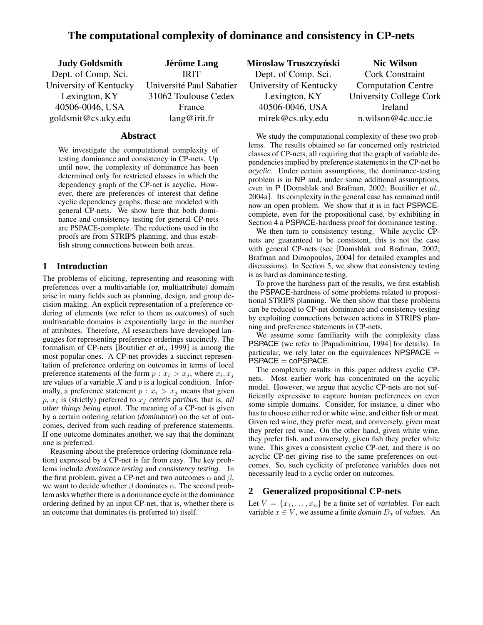# **The computational complexity of dominance and consistency in CP-nets**

| <b>Judy Goldsmith</b>  | Jérôme Lang              |
|------------------------|--------------------------|
| Dept. of Comp. Sci.    | <b>IRIT</b>              |
| University of Kentucky | Université Paul Sabatier |
| Lexington, KY          | 31062 Toulouse Cedex     |
| 40506-0046, USA        | France                   |
| goldsmit@cs.uky.edu    | lang@irit.fr             |

### **Abstract**

We investigate the computational complexity of testing dominance and consistency in CP-nets. Up until now, the complexity of dominance has been determined only for restricted classes in which the dependency graph of the CP-net is acyclic. However, there are preferences of interest that define cyclic dependency graphs; these are modeled with general CP-nets. We show here that both dominance and consistency testing for general CP-nets are PSPACE-complete. The reductions used in the proofs are from STRIPS planning, and thus establish strong connections between both areas.

# **1 Introduction**

The problems of eliciting, representing and reasoning with preferences over a multivariable (or, multiattribute) domain arise in many fields such as planning, design, and group decision making. An explicit representation of a preference ordering of elements (we refer to them as *outcomes*) of such multivariable domains is exponentially large in the number of attributes. Therefore, AI researchers have developed languages for representing preference orderings succinctly. The formalism of CP-nets [Boutilier *et al.*, 1999] is among the most popular ones. A CP-net provides a succinct representation of preference ordering on outcomes in terms of local preference statements of the form  $p : x_i > x_j$ , where  $x_i, x_j$ are values of a variable  $X$  and  $p$  is a logical condition. Informally, a preference statement  $p : x_i > x_j$  means that given  $p, x_i$  is (strictly) preferred to  $x_j$  *ceteris paribus*, that is, *all other things being equal*. The meaning of a CP-net is given by a certain ordering relation (*dominance*) on the set of outcomes, derived from such reading of preference statements. If one outcome dominates another, we say that the dominant one is preferred.

Reasoning about the preference ordering (dominance relation) expressed by a CP-net is far from easy. The key problems include *dominance testing* and *consistency testing*. In the first problem, given a CP-net and two outcomes  $\alpha$  and  $\beta$ , we want to decide whether  $\beta$  dominates  $\alpha$ . The second problem asks whether there is a dominance cycle in the dominance ordering defined by an input CP-net, that is, whether there is an outcome that dominates (is preferred to) itself.

| Miroslaw Truszczyński  | <b>Nic Wilson</b>         |
|------------------------|---------------------------|
| Dept. of Comp. Sci.    | <b>Cork Constraint</b>    |
| University of Kentucky | <b>Computation Centre</b> |
| Lexington, KY          | University College Cork   |
| 40506-0046, USA        | Ireland                   |
| mirek@cs.uky.edu       | n.wilson@4c.ucc.ie        |

We study the computational complexity of these two problems. The results obtained so far concerned only restricted classes of CP-nets, all requiring that the graph of variable dependencies implied by preference statements in the CP-net be *acyclic*. Under certain assumptions, the dominance-testing problem is in NP and, under some additional assumptions, even in P [Domshlak and Brafman, 2002; Boutilier *et al.*, 2004a]. Its complexity in the general case has remained until now an open problem. We show that it is in fact PSPACEcomplete, even for the propositional case, by exhibiting in Section 4 a PSPACE-hardness proof for dominance testing.

We then turn to consistency testing. While acyclic CPnets are guaranteed to be consistent, this is not the case with general CP-nets (see [Domshlak and Brafman, 2002; Brafman and Dimopoulos, 2004] for detailed examples and discussions). In Section 5, we show that consistency testing is as hard as dominance testing.

To prove the hardness part of the results, we first establish the PSPACE-hardness of some problems related to propositional STRIPS planning. We then show that these problems can be reduced to CP-net dominance and consistency testing by exploiting connections between actions in STRIPS planning and preference statements in CP-nets.

We assume some familiarity with the complexity class PSPACE (we refer to [Papadimitriou, 1994] for details). In particular, we rely later on the equivalences  $NPSPACE =$  $PSPACE = coPSPACE$ .

The complexity results in this paper address cyclic CPnets. Most earlier work has concentrated on the acyclic model. However, we argue that acyclic CP-nets are not sufficiently expressive to capture human preferences on even some simple domains. Consider, for instance, a diner who has to choose either red or white wine, and either fish or meat. Given red wine, they prefer meat, and conversely, given meat they prefer red wine. On the other hand, given white wine, they prefer fish, and conversely, given fish they prefer white wine. This gives a consistent cyclic CP-net, and there is no acyclic CP-net giving rise to the same preferences on outcomes. So, such cyclicity of preference variables does not necessarily lead to a cyclic order on outcomes.

# **2 Generalized propositional CP-nets**

Let  $V = \{x_1, \ldots, x_n\}$  be a finite set of *variables*. For each variable  $x \in V$ , we assume a finite *domain*  $D_x$  of *values*. An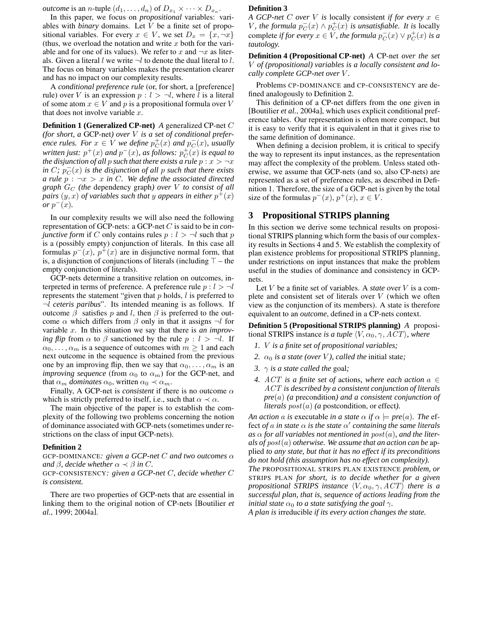*outcome* is an *n*-tuple  $(d_1, \ldots, d_n)$  of  $D_{x_1} \times \cdots \times D_{x_n}$ .

In this paper, we focus on *propositional* variables: variables with *binary* domains. Let V be a finite set of propositional variables. For every  $x \in V$ , we set  $D_x = \{x, \neg x\}$ (thus, we overload the notation and write  $x$  both for the variable and for one of its values). We refer to x and  $\neg x$  as literals. Given a literal l we write  $\neg l$  to denote the dual literal to l. The focus on binary variables makes the presentation clearer and has no impact on our complexity results.

A *conditional preference rule* (or, for short, a [preference] rule) over V is an expression  $p : l > \neg l$ , where l is a literal of some atom  $x \in V$  and p is a propositional formula over V that does not involve variable  $x$ .

**Definition 1 (Generalized CP-net)** *A* generalized CP-net C *(for short, a* GCP-net*) over* V *is a set of conditional preference rules. For*  $x \in V$  *we define*  $p_C^+(x)$  *and*  $p_C^-(x)$ *, usually written just:*  $p^+(x)$  *and*  $p^-(x)$ *, as follows:*  $p_C^+(x)$  *is equal to the disjunction of all p such that there exists a rule*  $p : x > \neg x$  $i$ *n*  $C$ *;*  $p_C^-(x)$  *is the disjunction of all p such that there exists a* rule  $p : \neg x > x$  *in C.* We define the associated directed *graph* G<sup>C</sup> *(the* dependency graph*) over* V *to consist of all pairs*  $(y, x)$  *of variables such that y appears in either*  $p^+(x)$  $or p^-(x)$ .

In our complexity results we will also need the following representation of GCP-nets: a GCP-net C is said to be in *conjunctive form* if C only contains rules  $p : l > \neg l$  such that p is a (possibly empty) conjunction of literals. In this case all formulas  $p^-(x)$ ,  $p^+(x)$  are in disjunctive normal form, that is, a disjunction of conjunctions of literals (including  $\top$  – the empty conjunction of literals).

GCP-nets determine a transitive relation on outcomes, interpreted in terms of preference. A preference rule  $p : l > \neg l$ represents the statement "given that  $p$  holds,  $l$  is preferred to ¬l *ceteris paribus*". Its intended meaning is as follows. If outcome  $β$  satisfies p and l, then  $β$  is preferred to the outcome  $\alpha$  which differs from  $\beta$  only in that it assigns  $\neg l$  for variable x. In this situation we say that there is *an improving flip* from  $\alpha$  to  $\beta$  sanctioned by the rule  $p : l > \neg l$ . If  $\alpha_0, \ldots, \alpha_m$  is a sequence of outcomes with  $m \geq 1$  and each next outcome in the sequence is obtained from the previous one by an improving flip, then we say that  $\alpha_0, \ldots, \alpha_m$  is an *improving sequence* (from  $\alpha_0$  to  $\alpha_m$ ) for the GCP-net, and that  $\alpha_m$  *dominates*  $\alpha_0$ , written  $\alpha_0 \prec \alpha_m$ .

Finally, A GCP-net is *consistent* if there is no outcome  $\alpha$ which is strictly preferred to itself, i.e., such that  $\alpha \prec \alpha$ .

The main objective of the paper is to establish the complexity of the following two problems concerning the notion of dominance associated with GCP-nets (sometimes under restrictions on the class of input GCP-nets).

#### **Definition 2**

GCP-DOMINANCE*: given a GCP-net* C *and two outcomes* α *and*  $\beta$ *, decide whether*  $\alpha \prec \beta$  *in C*.

GCP-CONSISTENCY*: given a GCP-net* C*, decide whether* C *is consistent.*

There are two properties of GCP-nets that are essential in linking them to the original notion of CP-nets [Boutilier *et al.*, 1999; 2004a].

#### **Definition 3**

*A GCP-net C over V is* locally consistent *if for every*  $x \in$ V, the formula  $p_C^-(x) \wedge p_C^+(x)$  is unsatisfiable. It is locally complete *if for every*  $x \in V$ , the formula  $p_C^-(x) \vee p_C^+(x)$  is a *tautology.*

**Definition 4 (Propositional CP-net)** *A* CP-net *over the set* V *of (propositional) variables is a locally consistent and locally complete GCP-net over* V *.*

Problems CP-DOMINANCE and CP-CONSISTENCY are defined analogously to Definition 2.

This definition of a CP-net differs from the one given in [Boutilier *et al.*, 2004a], which uses explicit conditional preference tables. Our representation is often more compact, but it is easy to verify that it is equivalent in that it gives rise to the same definition of dominance.

When defining a decision problem, it is critical to specify the way to represent its input instances, as the representation may affect the complexity of the problem. Unless stated otherwise, we assume that GCP-nets (and so, also CP-nets) are represented as a set of preference rules, as described in Definition 1. Therefore, the size of a GCP-net is given by the total size of the formulas  $p^-(x)$ ,  $p^+(x)$ ,  $x \in V$ .

# **3 Propositional STRIPS planning**

In this section we derive some technical results on propositional STRIPS planning which form the basis of our complexity results in Sections 4 and 5. We establish the complexity of plan existence problems for propositional STRIPS planning, under restrictions on input instances that make the problem useful in the studies of dominance and consistency in GCPnets.

Let V be a finite set of variables. A *state* over V is a complete and consistent set of literals over  $V$  (which we often view as the conjunction of its members). A state is therefore equivalent to an *outcome*, defined in a CP-nets context.

**Definition 5 (Propositional STRIPS planning)** *A* propositional STRIPS instance *is a tuple*  $\langle V, \alpha_0, \gamma, ACT \rangle$ *, where* 

- *1.* V *is a finite set of propositional variables;*
- *2.*  $\alpha_0$  *is a state (over V), called the initial state;*
- *3.*  $\gamma$  *is a state called the goal;*
- *4.* ACT *is a finite set of* actions*, where each action* a ∈ ACT *is described by a consistent conjunction of literals pre*(a) *(a* precondition*) and a consistent conjunction of literals*  $post(a)$  *(a* postcondition, or effect*)*.

*An action a is* executable *in a state*  $\alpha$  *if*  $\alpha \models pre(a)$ *. The* effect *of* a in state  $\alpha$  is the state  $\alpha'$  containing the same literals  $\alpha$ *s*  $\alpha$  *for all variables not mentioned in post* $(a)$ *, and the literals of* post(a) *otherwise. We assume that an action can be* applied *to any state, but that it has no effect if its preconditions do not hold (this assumption has no effect on complexity).*

*The* PROPOSITIONAL STRIPS PLAN EXISTENCE *problem, or* STRIPS PLAN *for short, is to decide whether for a given propositional STRIPS instance*  $\langle V, \alpha_0, \gamma, ACT \rangle$  *there is a successful plan, that is, sequence of actions leading from the initial state*  $\alpha_0$  *to a state satisfying the goal*  $\gamma$ *.* 

*A plan is* irreducible *if its every action changes the state.*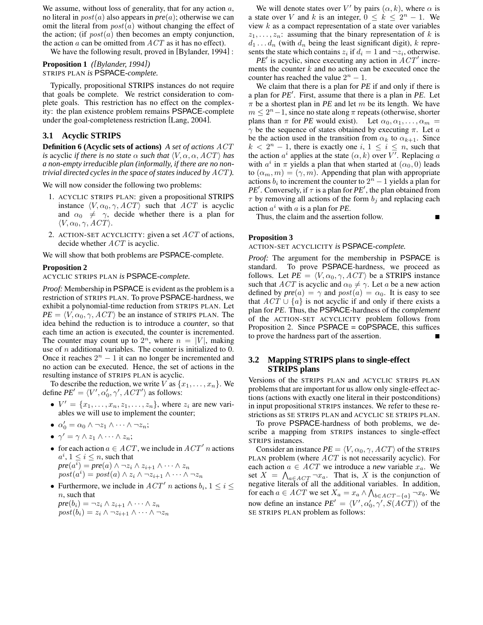We assume, without loss of generality, that for any action  $a$ , no literal in post(a) also appears in *pre*(a); otherwise we can omit the literal from  $post(a)$  without changing the effect of the action; (if  $post(a)$  then becomes an empty conjunction, the action  $a$  can be omitted from  $ACT$  as it has no effect).

We have the following result, proved in [Bylander, 1994] :

**Proposition 1** *([Bylander, 1994])* STRIPS PLAN *is* PSPACE*-complete.*

Typically, propositional STRIPS instances do not require that goals be complete. We restrict consideration to complete goals. This restriction has no effect on the complexity: the plan existence problem remains PSPACE-complete under the goal-completeness restriction [Lang, 2004].

### **3.1 Acyclic STRIPS**

**Definition 6 (Acyclic sets of actions)** *A set of actions* ACT *is* acyclic *if there is no state*  $\alpha$  *such that*  $\langle V, \alpha, \alpha, ACT \rangle$  *has a non-empty irreducible plan (informally, if there are no nontrivial directed cycles in the space of states induced by* ACT *).*

We will now consider the following two problems:

- 1. ACYCLIC STRIPS PLAN: given a propositional STRIPS instance  $\langle V, \alpha_0, \gamma, ACT \rangle$  such that ACT is acyclic and  $\alpha_0 \neq \gamma$ , decide whether there is a plan for  $\langle V, \alpha_0, \gamma, ACT \rangle$ .
- 2. ACTION-SET ACYCLICITY: given a set  $ACT$  of actions, decide whether  $ACT$  is acyclic.

We will show that both problems are PSPACE-complete.

#### **Proposition 2**

ACYCLIC STRIPS PLAN *is* PSPACE*-complete.*

*Proof:* Membership in PSPACE is evident as the problem is a restriction of STRIPS PLAN. To prove PSPACE-hardness, we exhibit a polynomial-time reduction from STRIPS PLAN. Let  $PE = \langle V, \alpha_0, \gamma, ACT \rangle$  be an instance of STRIPS PLAN. The idea behind the reduction is to introduce a *counter*, so that each time an action is executed, the counter is incremented. The counter may count up to  $2^n$ , where  $n = |V|$ , making use of  $n$  additional variables. The counter is initialized to 0. Once it reaches  $2^n - 1$  it can no longer be incremented and no action can be executed. Hence, the set of actions in the resulting instance of STRIPS PLAN is acyclic.

To describe the reduction, we write V as  $\{x_1, \ldots, x_n\}$ . We define  $PE' = \langle V', \alpha'_0, \gamma', ACT' \rangle$  as follows:

- $V' = \{x_1, \ldots, x_n, z_1, \ldots, z_n\}$ , where  $z_i$  are new variables we will use to implement the counter;
- $\alpha'_0 = \alpha_0 \wedge \neg z_1 \wedge \cdots \wedge \neg z_n;$
- $\gamma' = \gamma \wedge z_1 \wedge \cdots \wedge z_n;$
- for each action  $a \in ACT$ , we include in  $ACT'$  n actions  $a^i, 1 \leq i \leq n$ , such that  $pre(a^i) = pre(a) \land \neg z_i \land z_{i+1} \land \cdots \land z_n$  $post(a^i) = post(a) \wedge z_i \wedge \neg z_{i+1} \wedge \cdots \wedge \neg z_n$
- Furthermore, we include in  $ACT'$  n actions  $b_i$ ,  $1 \leq i \leq$ *n*, such that

$$
pre(b_i) = \neg z_i \land z_{i+1} \land \dots \land z_n
$$
  

$$
post(b_i) = z_i \land \neg z_{i+1} \land \dots \land \neg z_n
$$

We will denote states over V' by pairs  $(\alpha, k)$ , where  $\alpha$  is a state over V and k is an integer,  $0 \le k \le 2^n - 1$ . We view  $k$  as a compact representation of a state over variables  $z_1, \ldots, z_n$ : assuming that the binary representation of k is  $d_1 \ldots d_n$  (with  $d_n$  being the least significant digit), k represents the state which contains  $z_i$  if  $d_i = 1$  and  $\neg z_i$ , otherwise.

 $PE'$  is acyclic, since executing any action in  $ACT'$  increments the counter  $k$  and no action can be executed once the counter has reached the value  $2^n - 1$ .

We claim that there is a plan for *PE* if and only if there is a plan for *PE'*. First, assume that there is a plan in *PE*. Let  $\pi$  be a shortest plan in *PE* and let m be its length. We have  $m \leq 2<sup>n</sup> - 1$ , since no state along  $\pi$  repeats (otherwise, shorter plans than  $\pi$  for *PE* would exist). Let  $\alpha_0, \alpha_1, \ldots, \alpha_m$  $\gamma$  be the sequence of states obtained by executing  $\pi$ . Let a be the action used in the transition from  $\alpha_k$  to  $\alpha_{k+1}$ . Since  $k < 2<sup>n</sup> - 1$ , there is exactly one  $i, 1 \le i \le n$ , such that the action  $a^i$  applies at the state  $(\alpha, k)$  over V'. Replacing a with  $a^i$  in  $\pi$  yields a plan that when started at  $(\alpha_0, 0)$  leads to  $(\alpha_m, m) = (\gamma, m)$ . Appending that plan with appropriate actions  $b_i$  to increment the counter to  $2^n - 1$  yields a plan for *PE*<sup> $\prime$ </sup>. Conversely, if  $\tau$  is a plan for *PE*<sup> $\prime$ </sup>, the plan obtained from  $\tau$  by removing all actions of the form  $b_j$  and replacing each action  $a^i$  with a is a plan for *PE*.

Thus, the claim and the assertion follow.

#### **Proposition 3**

ACTION-SET ACYCLICITY *is* PSPACE*-complete.*

*Proof:* The argument for the membership in PSPACE is standard. To prove PSPACE-hardness, we proceed as follows. Let  $PE = \langle V, \alpha_0, \gamma, ACT \rangle$  be a STRIPS instance such that *ACT* is acyclic and  $\alpha_0 \neq \gamma$ . Let a be a new action defined by  $pre(a) = \gamma$  and  $post(a) = \alpha_0$ . It is easy to see that  $ACT \cup \{a\}$  is not acyclic if and only if there exists a plan for *PE*. Thus, the PSPACE-hardness of the *complement* of the ACTION-SET ACYCLICITY problem follows from Proposition 2. Since PSPACE = coPSPACE, this suffices to prove the hardness part of the assertion.

# **3.2 Mapping STRIPS plans to single-effect STRIPS plans**

Versions of the STRIPS PLAN and ACYCLIC STRIPS PLAN problems that are important for us allow only single-effect actions (actions with exactly one literal in their postconditions) in input propositional STRIPS instances. We refer to these restrictions as SE STRIPS PLAN and ACYCLIC SE STRIPS PLAN.

To prove PSPACE-hardness of both problems, we describe a mapping from STRIPS instances to single-effect STRIPS instances.

Consider an instance  $PE = \langle V, \alpha_0, \gamma, ACT \rangle$  of the STRIPS PLAN problem (where  $ACT$  is not necessarily acyclic). For each action  $a \in ACT$  we introduce a *new* variable  $x_a$ . We set  $X = \bigwedge_{a \in ACT} \neg x_a$ . That is, X is the conjunction of negative literals of all the additional variables. In addition, for each  $a \in ACT$  we set  $X_a = x_a \wedge \bigwedge_{b \in ACT - \{a\}} \neg x_b.$  We now define an instance  $PE' = \langle V', \alpha'_0, \gamma', S(ACT) \rangle$  of the SE STRIPS PLAN problem as follows: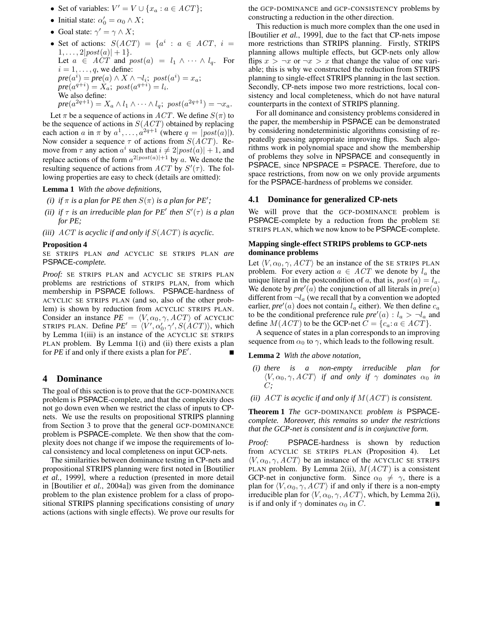- Set of variables:  $V' = V \cup \{x_a : a \in ACT\};$
- Initial state:  $\alpha'_0 = \alpha_0 \wedge X;$
- Goal state:  $\gamma' = \gamma \wedge X$ ;
- Set of actions:  $S(ACT) = \{a^i : a \in ACT, i =$  $1, \ldots, 2|post(a)| + 1$ . Let  $a \in \widehat{ACT}$  and  $post(a) = l_1 \wedge \cdots \wedge l_q$ . For  $i = 1, \ldots, q$ , we define:  $pre(a^i) = pre(a) \wedge X \wedge \neg l_i; \ post(a^i) = x_a;$  $pre(a^{q+i}) = X_a; \ post(a^{q+i}) = l_i.$ We also define:  $pre(a^{2q+1}) = X_a \wedge l_1 \wedge \cdots \wedge l_q; \ post(a^{2q+1}) = \neg x_a.$

Let  $\pi$  be a sequence of actions in ACT. We define  $S(\pi)$  to be the sequence of actions in  $S(ACT)$  obtained by replacing each action a in  $\pi$  by  $a^1, \ldots, a^{2q+1}$  (where  $q = |post(a)|$ ). Now consider a sequence  $\tau$  of actions from  $S(ACT)$ . Remove from  $\tau$  any action  $a^i$  such that  $i \neq 2|post(a)| + 1$ , and replace actions of the form  $a^{2|post(a)|+1}$  by a. We denote the resulting sequence of actions from  $ACT$  by  $S'(\tau)$ . The following properties are easy to check (details are omitted):

**Lemma 1** *With the above definitions,*

- *(i) if*  $\pi$  *is a plan for PE then*  $S(\pi)$  *is a plan for PE'*;
- *(ii) if*  $\tau$  *is an irreducible plan for PE' then*  $S'(\tau)$  *is a plan for PE;*

*(iii)*  $ACT$  *is acyclic if and only if*  $S(ACT)$  *is acyclic.* 

#### **Proposition 4**

SE STRIPS PLAN *and* ACYCLIC SE STRIPS PLAN *are* PSPACE*-complete.*

*Proof:* SE STRIPS PLAN and ACYCLIC SE STRIPS PLAN problems are restrictions of STRIPS PLAN, from which membership in PSPACE follows. PSPACE-hardness of ACYCLIC SE STRIPS PLAN (and so, also of the other problem) is shown by reduction from ACYCLIC STRIPS PLAN. Consider an instance  $PE = \langle V, \alpha_0, \gamma, ACT \rangle$  of ACYCLIC STRIPS PLAN. Define  $PE' = \langle V', \alpha'_0, \gamma', S(ACT) \rangle$ , which by Lemma 1(iii) is an instance of the ACYCLIC SE STRIPS PLAN problem. By Lemma 1(i) and (ii) there exists a plan for *PE* if and only if there exists a plan for *PE'*. .

### **4 Dominance**

The goal of this section is to prove that the GCP-DOMINANCE problem is PSPACE-complete, and that the complexity does not go down even when we restrict the class of inputs to CPnets. We use the results on propositional STRIPS planning from Section 3 to prove that the general GCP-DOMINANCE problem is PSPACE-complete. We then show that the complexity does not change if we impose the requirements of local consistency and local completeness on input GCP-nets.

The similarities between dominance testing in CP-nets and propositional STRIPS planning were first noted in [Boutilier *et al.*, 1999], where a reduction (presented in more detail in [Boutilier *et al.*, 2004a]) was given from the dominance problem to the plan existence problem for a class of propositional STRIPS planning specifications consisting of *unary* actions (actions with single effects). We prove our results for the GCP-DOMINANCE and GCP-CONSISTENCY problems by constructing a reduction in the other direction.

This reduction is much more complex than the one used in [Boutilier *et al.*, 1999], due to the fact that CP-nets impose more restrictions than STRIPS planning. Firstly, STRIPS planning allows multiple effects, but GCP-nets only allow flips  $x > \neg x$  or  $\neg x > x$  that change the value of one variable; this is why we constructed the reduction from STRIPS planning to single-effect STRIPS planning in the last section. Secondly, CP-nets impose two more restrictions, local consistency and local completeness, which do not have natural counterparts in the context of STRIPS planning.

For all dominance and consistency problems considered in the paper, the membership in PSPACE can be demonstrated by considering nondeterministic algorithms consisting of repeatedly guessing appropriate improving flips. Such algorithms work in polynomial space and show the membership of problems they solve in NPSPACE and consequently in PSPACE, since NPSPACE = PSPACE. Therefore, due to space restrictions, from now on we only provide arguments for the PSPACE-hardness of problems we consider.

#### **4.1 Dominance for generalized CP-nets**

We will prove that the GCP-DOMINANCE problem is PSPACE-complete by a reduction from the problem SE STRIPS PLAN, which we now know to be PSPACE-complete.

### **Mapping single-effect STRIPS problems to GCP-nets dominance problems**

Let  $\langle V, \alpha_0, \gamma, ACT \rangle$  be an instance of the SE STRIPS PLAN problem. For every action  $a \in ACT$  we denote by  $l_a$  the unique literal in the postcondition of a, that is,  $post(a) = l_a$ . We denote by  $pre'(a)$  the conjunction of all literals in  $pre(a)$ different from  $\neg l_a$  (we recall that by a convention we adopted earlier,  $pre'(a)$  does not contain  $l_a$  either). We then define  $c_a$ to be the conditional preference rule  $pre'(a)$  :  $l_a > \neg l_a$  and define  $M(ACT)$  to be the GCP-net  $C = \{c_a : a \in ACT\}.$ 

A sequence of states in a plan corresponds to an improving sequence from  $\alpha_0$  to  $\gamma$ , which leads to the following result.

**Lemma 2** *With the above notation,*

- *(i) there is a non-empty irreducible plan for*  $\langle V, \alpha_0, \gamma, ACT \rangle$  *if and only if*  $\gamma$  *dominates*  $\alpha_0$  *in* C*;*
- *(ii)* ACT *is acyclic if and only if* M(ACT) *is consistent.*

**Theorem 1** *The* GCP-DOMINANCE *problem is* PSPACE*complete. Moreover, this remains so under the restrictions that the GCP-net is consistent and is in conjunctive form.*

*Proof:* PSPACE-hardness is shown by reduction from ACYCLIC SE STRIPS PLAN (Proposition 4). Let  $\langle V, \alpha_0, \gamma, ACT \rangle$  be an instance of the ACYCLIC SE STRIPS PLAN problem. By Lemma 2(ii),  $M(ACT)$  is a consistent GCP-net in conjunctive form. Since  $\alpha_0 \neq \gamma$ , there is a plan for  $\langle V, \alpha_0, \gamma, ACT \rangle$  if and only if there is a non-empty irreducible plan for  $\langle V, \alpha_0, \gamma, ACT \rangle$ , which, by Lemma 2(i), is if and only if  $\gamma$  dominates  $\alpha_0$  in C.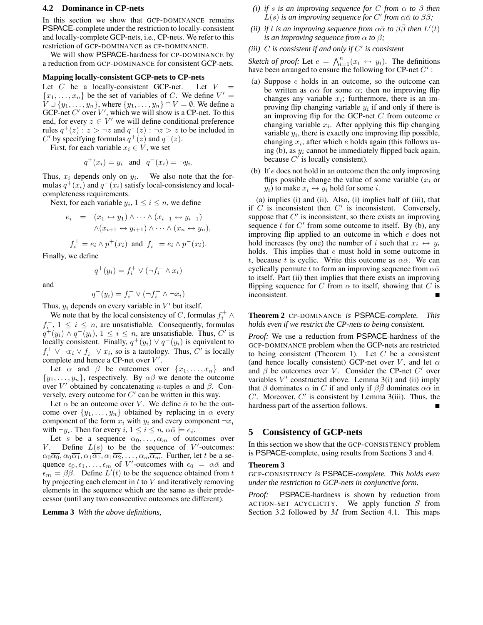# **4.2 Dominance in CP-nets**

In this section we show that GCP-DOMINANCE remains PSPACE-complete under the restriction to locally-consistent and locally-complete GCP-nets, i.e., CP-nets. We refer to this restriction of GCP-DOMINANCE as CP-DOMINANCE.

We will show PSPACE-hardness for CP-DOMINANCE by a reduction from GCP-DOMINANCE for consistent GCP-nets.

#### **Mapping locally-consistent GCP-nets to CP-nets**

Let  $C$  be a locally-consistent GCP-net. Let  $V =$  $\{x_1, \ldots, x_n\}$  be the set of variables of C. We define  $V' =$  $V \cup \{y_1, \ldots, y_n\}$ , where  $\{y_1, \ldots, y_n\} \cap V = \emptyset$ . We define a GCP-net  $C'$  over  $V'$ , which we will show is a CP-net. To this end, for every  $z \in V'$  we will define conditional preference rules  $q^+(z)$  :  $z > \neg z$  and  $q^-(z)$  :  $\neg z > z$  to be included in C' by specifying formulas  $q^+(z)$  and  $q^-(z)$ .

First, for each variable  $x_i \in V$ , we set

$$
q^+(x_i) = y_i \quad \text{and} \quad q^-(x_i) = \neg y_i.
$$

Thus,  $x_i$  depends only on  $y_i$ . We also note that the formulas  $q^+(x_i)$  and  $q^-(x_i)$  satisfy local-consistency and localcompleteness requirements.

Next, for each variable  $y_i$ ,  $1 \le i \le n$ , we define

$$
e_i = (x_1 \leftrightarrow y_1) \land \cdots \land (x_{i-1} \leftrightarrow y_{i-1})
$$

$$
\land (x_{i+1} \leftrightarrow y_{i+1}) \land \cdots \land (x_n \leftrightarrow y_n),
$$

$$
f_i^+ = e_i \land p^+(x_i) \text{ and } f_i^- = e_i \land p^-(x_i).
$$

Finally, we define

and

$$
q^+(y_i) = f_i^+ \vee (\neg f_i^- \wedge x_i)
$$

 $q^-(y_i) = f_i^- \vee (\neg f_i^+ \wedge \neg x_i)$ Thus,  $y_i$  depends on every variable in  $V'$  but itself.

We note that by the local consistency of C, formulas  $f_i^+ \wedge$  $f_{i}^{-}, 1 \leq i \leq n$ , are unsatisfiable. Consequently, formulas  $q^+(y_i) \wedge q^-(y_i), 1 \leq i \leq n$ , are unsatisfiable. Thus, C' is locally consistent. Finally,  $q^+(y_i) \vee q^-(y_i)$  is equivalent to  $f_i^+ \vee \neg x_i \vee f_i^- \vee x_i$ , so is a tautology. Thus, C' is locally complete and hence a CP-net over  $V'$ .

Let  $\alpha$  and  $\beta$  be outcomes over  $\{x_1, \ldots, x_n\}$  and  $\{y_1, \ldots, y_n\}$ , respectively. By  $\alpha\beta$  we denote the outcome over  $V'$  obtained by concatenating *n*-tuples  $\alpha$  and  $\beta$ . Conversely, every outcome for  $C'$  can be written in this way.

Let  $\alpha$  be an outcome over V. We define  $\bar{\alpha}$  to be the outcome over  $\{y_1, \ldots, y_n\}$  obtained by replacing in  $\alpha$  every component of the form  $x_i$  with  $y_i$  and every component  $\neg x_i$ with  $\neg y_i$ . Then for every  $i, 1 \leq i \leq n$ ,  $\alpha \bar{\alpha} \models e_i$ .

Let s be a sequence  $\alpha_0, \ldots, \alpha_m$  of outcomes over V. Define  $L(s)$  to be the sequence of V'-outcomes:  $\alpha_0 \overline{\alpha_0}, \alpha_0 \overline{\alpha_1}, \alpha_1 \overline{\alpha_1}, \alpha_1 \overline{\alpha_2}, \ldots, \alpha_m \overline{\alpha_m}$ . Further, let t be a sequence  $\epsilon_0, \epsilon_1, \ldots, \epsilon_m$  of V'-outcomes with  $\epsilon_0 = \alpha \bar{\alpha}$  and  $\epsilon_m = \beta \vec{\beta}$ . Define  $\vec{L}'(t)$  to be the sequence obtained from t by projecting each element in  $t$  to  $V$  and iteratively removing elements in the sequence which are the same as their predecessor (until any two consecutive outcomes are different).

**Lemma 3** *With the above definitions,*

- *(i) if s is an improving sequence for C from*  $\alpha$  *to*  $\beta$  *then*  $\tilde{L}(s)$  *is an improving sequence for*  $C'$  *from*  $\alpha \bar{\alpha}$  *to*  $\beta \bar{\beta}$ ;
- *(ii) if t is an improving sequence from*  $\alpha \bar{\alpha}$  *to*  $\beta \bar{\beta}$  *then*  $L'(t)$ *is an improving sequence from*  $\alpha$  *to*  $\beta$ ;
- *(iii)* C *is consistent if and only if* C 0 *is consistent*

*Sketch of proof:* Let  $e = \bigwedge_{i=1}^{n} (x_i \leftrightarrow y_i)$ . The definitions have been arranged to ensure the following for CP-net  $C'$ :

- (a) Suppose e holds in an outcome, so the outcome can be written as  $\alpha\bar{\alpha}$  for some  $\alpha$ ; then no improving flip changes any variable  $x_i$ ; furthermore, there is an improving flip changing variable  $y_i$  if and only if there is an improving flip for the GCP-net C from outcome  $\alpha$ changing variable  $x_i$ . After applying this flip changing variable  $y_i$ , there is exactly one improving flip possible, changing  $x_i$ , after which  $e$  holds again (this follows using (b), as  $y_i$  cannot be immediately flipped back again, because  $C'$  is locally consistent).
- (b) If  $e$  does not hold in an outcome then the only improving flips possible change the value of some variable  $(x<sub>i</sub>$  or  $y_i)$  to make  $x_i \leftrightarrow y_i$  hold for some *i*.

(a) implies (i) and (ii). Also, (i) implies half of (iii), that if  $C$  is inconsistent then  $C'$  is inconsistent. Conversely, suppose that  $C'$  is inconsistent, so there exists an improving sequence  $t$  for  $C'$  from some outcome to itself. By (b), any improving flip applied to an outcome in which e does not hold increases (by one) the number of i such that  $x_i \leftrightarrow y_i$ holds. This implies that e must hold in some outcome in t, because t is cyclic. Write this outcome as  $\alpha \bar{\alpha}$ . We can cyclically permute t to form an improving sequence from  $\alpha\bar{\alpha}$ to itself. Part (ii) then implies that there exists an improving flipping sequence for C from  $\alpha$  to itself, showing that C is inconsistent.

**Theorem 2** CP-DOMINANCE *is* PSPACE*-complete. This holds even if we restrict the CP-nets to being consistent.*

*Proof:* We use a reduction from PSPACE-hardness of the GCP-DOMINANCE problem when the GCP-nets are restricted to being consistent (Theorem 1). Let  $C$  be a consistent (and hence locally consistent) GCP-net over V, and let  $\alpha$ and  $\beta$  be outcomes over V. Consider the CP-net  $C'$  over variables  $V'$  constructed above. Lemma 3(i) and (ii) imply that  $\beta$  dominates  $\alpha$  in C if and only if  $\beta \bar{\beta}$  dominates  $\alpha \bar{\alpha}$  in  $C'$ . Moreover,  $C'$  is consistent by Lemma 3(iii). Thus, the hardness part of the assertion follows.

# **5 Consistency of GCP-nets**

In this section we show that the GCP-CONSISTENCY problem is PSPACE-complete, using results from Sections 3 and 4.

#### **Theorem 3**

GCP-CONSISTENCY *is* PSPACE*-complete. This holds even under the restriction to GCP-nets in conjunctive form.*

*Proof:* PSPACE-hardness is shown by reduction from ACTION-SET ACYCLICITY. We apply function  $S$  from Section 3.2 followed by  $M$  from Section 4.1. This maps